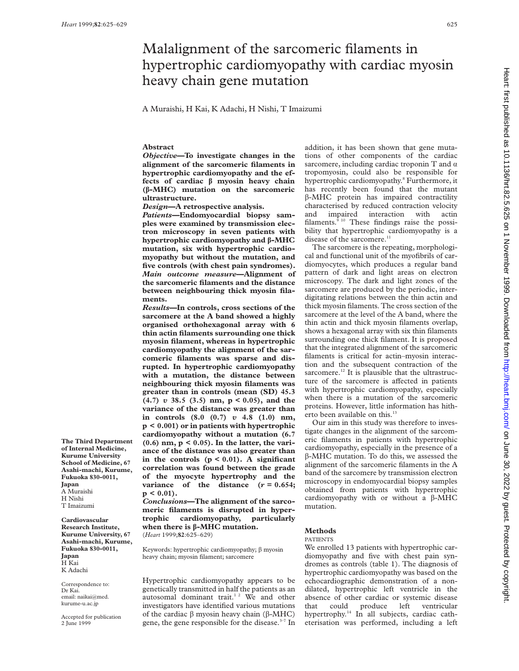# Malalignment of the sarcomeric filaments in hypertrophic cardiomyopathy with cardiac myosin heavy chain gene mutation

A Muraishi, H Kai, K Adachi, H Nishi, T Imaizumi

## **Abstract**

*Objective***—To investigate changes in the alignment of the sarcomeric filaments in hypertrophic cardiomyopathy and the effects of cardiac â myosin heavy chain (â-MHC) mutation on the sarcomeric ultrastructure.**

*Design***—A retrospective analysis.**

*Patients***—Endomyocardial biopsy samples were examined by transmission electron microscopy in seven patients with hypertrophic cardiomyopathy and â-MHC mutation, six with hypertrophic cardiomyopathy but without the mutation, and five controls (with chest pain syndromes).** *Main outcome measure***—Alignment of the sarcomeric filaments and the distance between neighbouring thick myosin filaments.**

*Results***—In controls, cross sections of the sarcomere at the A band showed a highly organised orthohexagonal array with 6 thin actin filaments surrounding one thick myosin filament, whereas in hypertrophic cardiomyopathy the alignment of the sarcomeric filaments was sparse and disrupted. In hypertrophic cardiomyopathy with a mutation, the distance between neighbouring thick myosin filaments was greater than in controls (mean (SD) 45.3 (4.7)** *v* **38.5 (3.5) nm, p < 0.05), and the variance of the distance was greater than in controls (8.0 (0.7)** *v* **4.8 (1.0) nm, p < 0.001) or in patients with hypertrophic cardiomyopathy without a mutation (6.7 (0.6) nm, p < 0.05). In the latter, the variance of the distance was also greater than in the controls (p < 0.01). A significant correlation was found between the grade of the myocyte hypertrophy and the variance** of the distance  $(r = 0.654;$ **p < 0.01).**

*Conclusions***—The alignment of the sarcomeric filaments is disrupted in hypertrophic cardiomyopathy, particularly when there is â-MHC mutation.** (*Heart* 1999;**82**:625–629)

Keywords: hypertrophic cardiomyopathy;  $\beta$  myosin heavy chain; myosin filament; sarcomere

Hypertrophic cardiomyopathy appears to be genetically transmitted in half the patients as an autosomal dominant trait.<sup>12</sup> We and other investigators have identified various mutations of the cardiac  $\beta$  myosin heavy chain ( $\beta$ -MHC) gene, the gene responsible for the disease. $3-7$  In

addition, it has been shown that gene mutations of other components of the cardiac sarcomere, including cardiac troponin T and  $\alpha$ tropomyosin, could also be responsible for hypertrophic cardiomyopathy.<sup>8</sup> Furthermore, it has recently been found that the mutant â-MHC protein has impaired contractility characterised by reduced contraction velocity and impaired interaction with actin filaments. $510$  These findings raise the possibility that hypertrophic cardiomyopathy is a disease of the sarcomere.<sup>11</sup>

The sarcomere is the repeating, morphological and functional unit of the myofibrils of cardiomyocytes, which produces a regular band pattern of dark and light areas on electron microscopy. The dark and light zones of the sarcomere are produced by the periodic, interdigitating relations between the thin actin and thick myosin filaments. The cross section of the sarcomere at the level of the A band, where the thin actin and thick myosin filaments overlap, shows a hexagonal array with six thin filaments surrounding one thick filament. It is proposed that the integrated alignment of the sarcomeric filaments is critical for actin–myosin interaction and the subsequent contraction of the sarcomere.<sup>12</sup> It is plausible that the ultrastructure of the sarcomere is affected in patients with hypertrophic cardiomyopathy, especially when there is a mutation of the sarcomeric proteins. However, little information has hitherto been available on this.<sup>13</sup>

Our aim in this study was therefore to investigate changes in the alignment of the sarcomeric filaments in patients with hypertrophic cardiomyopathy, especially in the presence of a â-MHC mutation. To do this, we assessed the alignment of the sarcomeric filaments in the A band of the sarcomere by transmission electron microscopy in endomyocardial biopsy samples obtained from patients with hypertrophic cardiomyopathy with or without a  $\beta$ -MHC mutation.

## **Methods**

#### PATIENTS

We enrolled 13 patients with hypertrophic cardiomyopathy and five with chest pain syndromes as controls (table 1). The diagnosis of hypertrophic cardiomyopathy was based on the echocardiographic demonstration of a nondilated, hypertrophic left ventricle in the absence of other cardiac or systemic disease that could produce left ventricular hypertrophy.<sup>14</sup> In all subjects, cardiac catheterisation was performed, including a left

Heart: first published as 10.1136/hrt.82.5.625 on 1 November 1999. Downloaded from http://heart.bmj.com/ on June 30, 2022 by guest. Protected by copyright on June 30, 2022 by guest. Protected by copyright. <http://heart.bmj.com/> Heart: first published as 10.1136/hrt.82.5.625 on 1 November 1999. Downloaded from

**The Third Department of Internal Medicine, Kurume University School of Medicine, 67 Asahi-machi, Kurume, Fukuoka 830-0011, Japan** A Muraishi H Nishi T Imaizumi

**Cardiovascular Research Institute, Kurume University, 67 Asahi-machi, Kurume, Fukuoka 830-0011, Japan** H Kai K Adachi

Correspondence to: Dr Kai. email: naikai@med. kurume-u.ac.jp

Accepted for publication 2 June 1999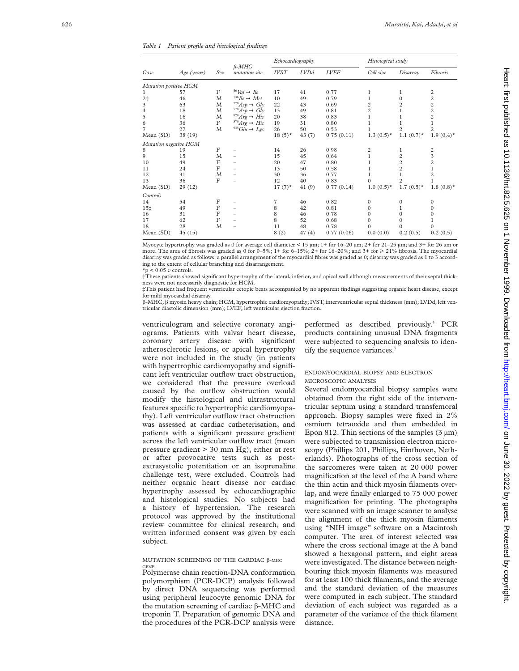*Table 1 Patient profile and histological findings*

| Case                  | Age (years) | Sex            | $\beta$ -MHC<br><i>mutation</i> site | Echocardiography |        |             | Histological study |                          |                |
|-----------------------|-------------|----------------|--------------------------------------|------------------|--------|-------------|--------------------|--------------------------|----------------|
|                       |             |                |                                      | <b>IVST</b>      | LVDd   | <i>LVEF</i> | Cell size          | Disarray                 | Fibrosis       |
| Mutation positive HCM |             |                |                                      |                  |        |             |                    |                          |                |
|                       | 57          | $\mathbf F$    | $56$ Val $\rightarrow$ Ile           | 17               | 41     | 0.77        |                    | 1                        | 2              |
| $2+$                  | 46          | M              | $^{736}He \rightarrow Met$           | 10               | 49     | 0.79        |                    | $\Omega$                 | $\overline{c}$ |
| 3                     | 63          | М              | $778 Asp \rightarrow Gly$            | 22               | 43     | 0.69        | $\overline{c}$     | 2                        | $\overline{c}$ |
| 4                     | 18          | M              | $778 Asp \rightarrow Gly$            | 13               | 49     | 0.81        | $\overline{c}$     |                          | $\overline{c}$ |
| 5                     | 16          | $\mathbf M$    | ${}^{870}\!Arg \rightarrow His$      | 20               | 38     | 0.83        | 1                  |                          | $\overline{c}$ |
| 6                     | 36          | $\mathbf F$    | $870Arg \rightarrow His$             | 19               | 31     | 0.80        |                    |                          |                |
| 7                     | 27          | M              | $935 Glu \rightarrow Lys$            | 26               | 50     | 0.53        |                    | 2                        | $\overline{c}$ |
| Mean (SD)             | 38 (19)     |                |                                      | $18(5)^*$        | 43(7)  | 0.75(0.11)  | $1.3(0.5)$ *       | 1.1 $(0.7)$ <sup>*</sup> | $1.9(0.4)$ *   |
| Mutation negative HCM |             |                |                                      |                  |        |             |                    |                          |                |
| 8                     | 19          | F              |                                      | 14               | 26     | 0.98        | 2                  |                          | 2              |
| 9                     | 15          | M              |                                      | 15               | 45     | 0.64        |                    | $\overline{c}$           | 3              |
| 10                    | 49          | $_{\rm F}$     |                                      | 20               | 47     | 0.80        |                    | $\overline{c}$           | $\overline{c}$ |
| 11                    | 24          | $_{\rm F}$     |                                      | 13               | 50     | 0.58        |                    | 2                        |                |
| 12                    | 31          | M              | -                                    | 30               | 36     | 0.77        |                    |                          | $\overline{c}$ |
| 13                    | 36          | $_{\rm F}$     |                                      | 12               | 40     | 0.83        | $\Omega$           |                          |                |
| Mean (SD)             | 29 (12)     |                |                                      | $17(7)^*$        | 41(9)  | 0.77(0.14)  | $1.0(0.5)$ *       | $1.7(0.5)$ *             | $1.8(0.8)$ *   |
| Controls              |             |                |                                      |                  |        |             |                    |                          |                |
| 14                    | 54          | F              |                                      | 7                | 46     | 0.82        | $\mathbf{0}$       | $\Omega$                 | $\mathbf{0}$   |
| 15‡                   | 49          | $_{\rm F}$     |                                      | 8                | 42     | 0.81        | $\mathbf{0}$       |                          | $\Omega$       |
| 16                    | 31          | $\overline{F}$ |                                      | 8                | 46     | 0.78        | $\mathbf{0}$       | $\Omega$                 | $\Omega$       |
| 17                    | 62          | $_{\rm F}$     |                                      | 8                | 52     | 0.68        | $\mathbf{0}$       | $\Omega$                 |                |
| 18                    | 28          | M              |                                      | 11               | 48     | 0.78        | $\Omega$           | $\Omega$                 | $\Omega$       |
| Mean (SD)             | 45(15)      |                |                                      | 8(2)             | 47 (4) | 0.77(0.06)  | 0.0(0.0)           | 0.2(0.5)                 | 0.2(0.5)       |
|                       |             |                |                                      |                  |        |             |                    |                          |                |

Myocyte hypertrophy was graded as 0 for average cell diameter < 15  $\mu$ m; 1+ for 16–20  $\mu$ m; 2+ for 21–25  $\mu$ m; and 3+ for 26  $\mu$ m or more. The area of fibrosis was graded as 0 for  $0-5\%$ ;  $1+$  for  $6-15\%$ ;  $2+$  for  $16-20\%$ ; and  $3+$  for  $\geq 21\%$  fibrosis. The myocardial disarray was graded as follows: a parallel arrangement of the myocardial fibres was graded as 0; disarray was graded as 1 to 3 according to the extent of cellular branching and disarrangement.

 $\star$ p < 0.05 *v* controls. †These patients showed significant hypertrophy of the lateral, inferior, and apical wall although measurements of their septal thickness were not necessarily diagnostic for HCM.

‡This patient had frequent ventricular ectopic beats accompanied by no apparent findings suggesting organic heart disease, except for mild myocardial disarray.

â-MHC, â myosin heavy chain; HCM, hypertrophic cardiomyopathy; IVST, interventricular septal thickness (mm); LVDd, left ventricular diastolic dimension (mm); LVEF, left ventricular ejection fraction.

ventriculogram and selective coronary angiograms. Patients with valvar heart disease, coronary artery disease with significant atherosclerotic lesions, or apical hypertrophy were not included in the study (in patients with hypertrophic cardiomy opathy and significant left ventricular outflow tract obstruction, we considered that the pressure overload caused by the outflow obstruction would modify the histological and ultrastructural features specific to hypertrophic cardiomyopathy). Left ventricular outflow tract obstruction was assessed at cardiac catheterisation, and patients with a significant pressure gradient across the left ventricular outflow tract (mean pressure gradient > 30 mm Hg), either at rest or after provocative tests such as postextrasystolic potentiation or an isoprenaline challenge test, were excluded. Controls had neither organic heart disease nor cardiac hypertrophy assessed by echocardiographic and histological studies. No subjects had a history of hypertension. The research protocol was approved by the institutional review committee for clinical research, and written informed consent was given by each subject.

MUTATION SCREENING OF THE CARDIAC β-MHC GENE

Polymerase chain reaction-DNA conformation polymorphism (PCR-DCP) analysis followed by direct DNA sequencing was performed using peripheral leucocyte genomic DNA for the mutation screening of cardiac β-MHC and troponin T. Preparation of genomic DNA and the procedures of the PCR-DCP analysis were

performed as described previously. <sup>4</sup> PCR products containing unusual DNA fragments were subjected to sequencing analysis to identify the sequence variances.<sup>7</sup>

## ENDOMYOCARDIAL BIOPSY AND ELECTRON MICROSCOPIC ANALYSIS

Several endomyocardial biopsy samples were obtained from the right side of the interventricular septum using a standard transfemoral approach. Biopsy samples were fixed in 2% osmium tetraoxide and then embedded in Epon 812. Thin sections of the samples  $(3 \mu m)$ were subjected to transmission electron microscopy (Phillips 201, Phillips, Einthoven, Netherlands). Photographs of the cross section of the sarcomeres were taken at 20 000 power magnification at the level of the A band where the thin actin and thick myosin filaments overlap, and were finally enlarged to 75 000 power magnification for printing. The photographs were scanned with an image scanner to analyse the alignment of the thick myosin filaments using "NIH image" software on a Macintosh computer. The area of interest selected was where the cross sectional image at the A band showed a hexagonal pattern, and eight areas were investigated. The distance between neighbouring thick myosin filaments was measured for at least 100 thick filaments, and the average and the standard deviation of the measures were computed in each subject. The standard deviation of each subject was regarded as a parameter of the variance of the thick filament distance.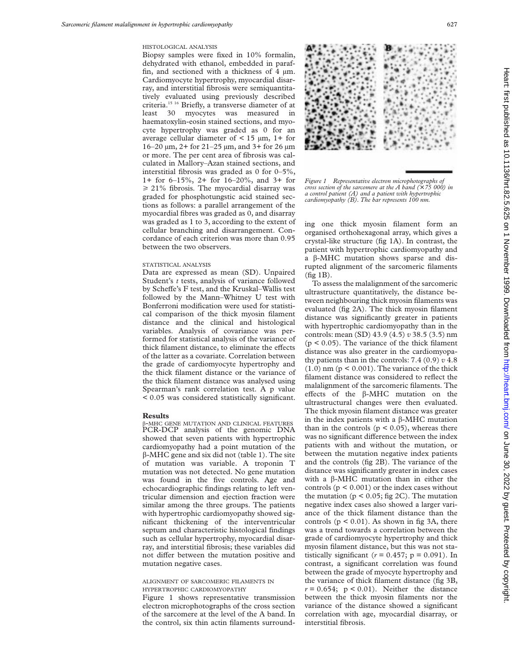#### HISTOLOGICAL ANALYSIS

Biopsy samples were fixed in 10% formalin, dehydrated with ethanol, embedded in paraffin, and sectioned with a thickness of 4 µm. Cardiomyocyte hypertrophy, myocardial disarray, and interstitial fibrosis were semiquantitatively evaluated using previously described criteria.15 16 Briefly, a transverse diameter of at least 30 myocytes was measured in haematoxylin-eosin stained sections, and myocyte hypertrophy was graded as 0 for an average cellular diameter of  $\lt$  15  $\mu$ m, 1+ for 16–20 µm, 2+ for 21–25 µm, and 3+ for 26 µm or more. The per cent area of fibrosis was calculated in Mallory–Azan stained sections, and interstitial fibrosis was graded as 0 for 0–5%, 1+ for 6–15%, 2+ for 16–20%, and 3+ for  $\geq$  21% fibrosis. The myocardial disarray was graded for phosphotungstic acid stained sections as follows: a parallel arrangement of the myocardial fibres was graded as 0, and disarray was graded as 1 to 3, according to the extent of cellular branching and disarrangement. Concordance of each criterion was more than 0.95 between the two observers.

## STATISTICAL ANALYSIS

Data are expressed as mean (SD). Unpaired Student's *t* tests, analysis of variance followed by Scheffe's F test, and the Kruskal–Wallis test followed by the Mann–Whitney U test with Bonferroni modification were used for statistical comparison of the thick myosin filament distance and the clinical and histological variables. Analysis of covariance was performed for statistical analysis of the variance of thick filament distance, to eliminate the effects of the latter as a covariate. Correlation between the grade of cardiomyocyte hypertrophy and the thick filament distance or the variance of the thick filament distance was analysed using Spearman's rank correlation test. A p value < 0.05 was considered statistically significant.

#### **Results**

â-MHC GENE MUTATION AND CLINICAL FEATURES PCR-DCP analysis of the genomic DNA showed that seven patients with hypertrophic cardiomyopathy had a point mutation of the  $\beta$ -MHC gene and six did not (table 1). The site of mutation was variable. A troponin T mutation was not detected. No gene mutation was found in the five controls. Age and echocardiographic findings relating to left ventricular dimension and ejection fraction were similar among the three groups. The patients with hypertrophic cardiomyopathy showed significant thickening of the interventricular septum and characteristic histological findings such as cellular hypertrophy, myocardial disarray, and interstitial fibrosis; these variables did not differ between the mutation positive and mutation negative cases.

## ALIGNMENT OF SARCOMERIC FILAMENTS IN HYPERTROPHIC CARDIOMYOPATHY

Figure 1 shows representative transmission electron microphotographs of the cross section of the sarcomere at the level of the A band. In the control, six thin actin filaments surround-



*Figure 1 Representative electron microphotographs of cross section of the sarcomere at the A band (*× *75 000) in a control patient (A) and a patient with hypertrophic cardiomyopathy (B). The bar represents 100 nm.*

ing one thick myosin filament form an organised orthohexagonal array, which gives a crystal-like structure (fig 1A). In contrast, the patient with hypertrophic cardiomyopathy and a  $\beta$ -MHC mutation shows sparse and disrupted alignment of the sarcomeric filaments (fig 1B).

To assess the malalignment of the sarcomeric ultrastructure quantitatively, the distance between neighbouring thick myosin filaments was evaluated (fig 2A). The thick myosin filament distance was significantly greater in patients with hypertrophic cardiomyopathy than in the controls: mean (SD) 43.9 (4.5) *v* 38.5 (3.5) nm  $(p < 0.05)$ . The variance of the thick filament distance was also greater in the cardiomyopathy patients than in the controls:  $7.4$  (0.9)  $v$   $4.8$  $(1.0)$  nm  $(p < 0.001)$ . The variance of the thick filament distance was considered to reflect the malalignment of the sarcomeric filaments. The effects of the  $\beta$ -MHC mutation on the ultrastructural changes were then evaluated. The thick myosin filament distance was greater in the index patients with a  $\beta$ -MHC mutation than in the controls  $(p < 0.05)$ , whereas there was no significant difference between the index patients with and without the mutation, or between the mutation negative index patients and the controls (fig 2B). The variance of the distance was significantly greater in index cases with a  $\beta$ -MHC mutation than in either the controls  $(p < 0.001)$  or the index cases without the mutation ( $p < 0.05$ ; fig 2C). The mutation negative index cases also showed a larger variance of the thick filament distance than the controls  $(p < 0.01)$ . As shown in fig 3A, there was a trend towards a correlation between the grade of cardiomyocyte hypertrophy and thick myosin filament distance, but this was not statistically significant ( $r = 0.457$ ;  $p = 0.091$ ). In contrast, a significant correlation was found between the grade of myocyte hypertrophy and the variance of thick filament distance (fig 3B,  $r = 0.654$ ;  $p < 0.01$ ). Neither the distance between the thick myosin filaments nor the variance of the distance showed a significant correlation with age, myocardial disarray, or interstitial fibrosis.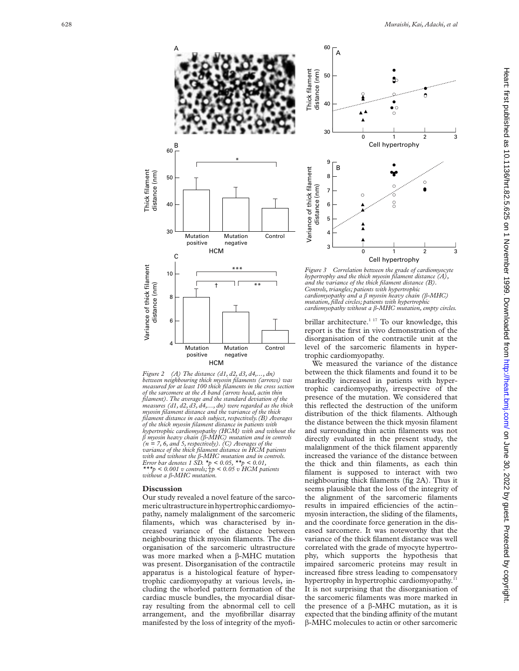$\bullet$ 

 $\circ$ 

 $\bullet$  $\overline{C}$ 

2 3



*Figure 2 (A) The distance (d1, d2, d3, d4,..., dn) between neighbouring thick myosin filaments (arrows) was measured for at least 100 thick filaments in the cross section of the sarcomere at the A band (arrow head, actin thin filament). The average and the standard deviation of the measures (d1, d2, d3, d4,..., dn) were regarded as the thick myosin filament distance and the variance of the thick filament distance in each subject, respectively.(B) Averages of the thick myosin filament distance in patients with hypertrophic cardiomyopathy (HCM) with and without the* <sup>â</sup> *myosin heavy chain (*â*-MHC) mutation and in controls (n = 7, 6, and 5, respectively). (C) Averages of the variance of the thick filament distance in HCM patients with and without the* â*-MHC mutation and in controls. Error bar denotes 1 SD. \*p < 0.05, \*\*p < 0.01, \*\*\*p < 0.001 v controls;* †*p < 0.05 v HCM patients without a* â*-MHC mutation.*

### **Discussion**

Our study revealed a novel feature of the sarcomericultrastructurein hypertrophiccardiomyopathy, namely malalignment of the sarcomeric filaments, which was characterised by increased variance of the distance between neighbouring thick myosin filaments. The disorganisation of the sarcomeric ultrastructure was more marked when a â-MHC mutation was present. Disorganisation of the contractile apparatus is a histological feature of hypertrophic cardiomyopathy at various levels, including the whorled pattern formation of the cardiac muscle bundles, the myocardial disarray resulting from the abnormal cell to cell arrangement, and the myofibrillar disarray manifested by the loss of integrity of the myofi-



*cardiomyopathy and a* â *myosin heavy chain (*â*-MHC) mutation, filled circles; patients with hypertrophic cardiomyopathy without a* â*-MHC mutation, empty circles.*

brillar architecture.<sup>1 17</sup> To our knowledge, this report is the first in vivo demonstration of the disorganisation of the contractile unit at the level of the sarcomeric filaments in hypertrophic cardiomyopathy.

We measured the variance of the distance between the thick filaments and found it to be markedly increased in patients with hypertrophic cardiomyopathy, irrespective of the presence of the mutation. We considered that this reflected the destruction of the uniform distribution of the thick filaments. Although the distance between the thick myosin filament and surrounding thin actin filaments was not directly evaluated in the present study, the malalignment of the thick filament apparently increased the variance of the distance between the thick and thin filaments, as each thin filament is supposed to interact with two neighbouring thick filaments (fig 2A). Thus it seems plausible that the loss of the integrity of the alignment of the sarcomeric filaments results in impaired efficiencies of the actinmyosin interaction, the sliding of the filaments, and the coordinate force generation in the diseased sarcomere. It was noteworthy that the variance of the thick filament distance was well correlated with the grade of myocyte hypertrophy, which supports the hypothesis that impaired sarcomeric proteins may result in increased fibre stress leading to compensatory hypertrophy in hypertrophic cardiomyopathy.<sup>1</sup> It is not surprising that the disorganisation of the sarcomeric filaments was more marked in the presence of a  $\beta$ -MHC mutation, as it is expected that the binding affinity of the mutant  $\beta$ -MHC molecules to actin or other sarcomeric